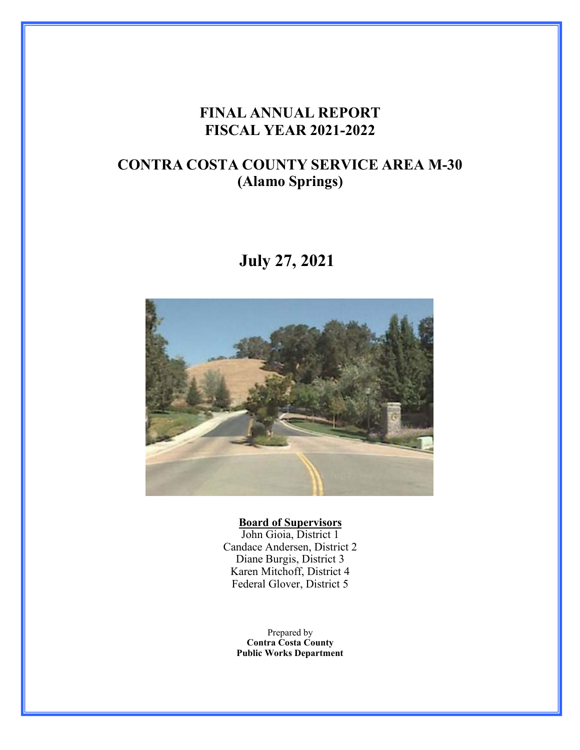# **FINAL ANNUAL REPORT FISCAL YEAR 2021-2022**

# **CONTRA COSTA COUNTY SERVICE AREA M-30 (Alamo Springs)**

# **July 27, 2021**



#### **Board of Supervisors**

John Gioia, District 1 Candace Andersen, District 2 Diane Burgis, District 3 Karen Mitchoff, District 4 Federal Glover, District 5

Prepared by **Contra Costa County Public Works Department**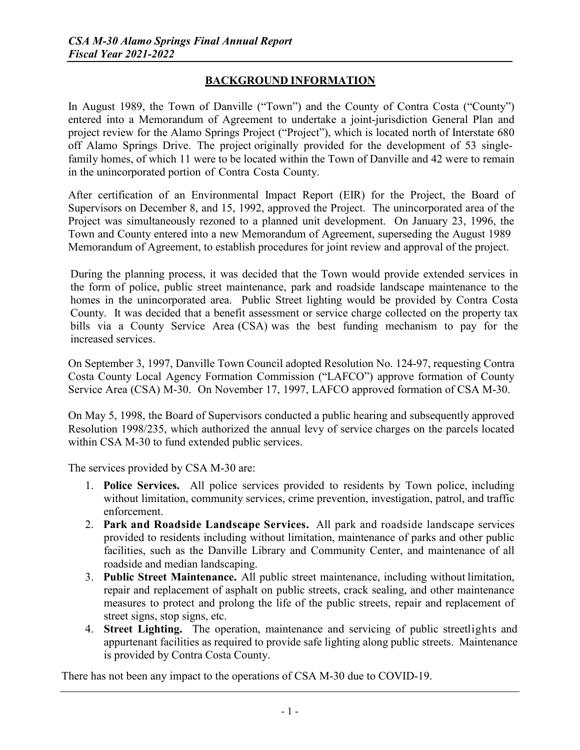# **BACKGROUND INFORMATION**

In August 1989, the Town of Danville ("Town") and the County of Contra Costa ("County") entered into a Memorandum of Agreement to undertake a joint-jurisdiction General Plan and project review for the Alamo Springs Project ("Project"), which is located north of Interstate 680 off Alamo Springs Drive. The project originally provided for the development of 53 singlefamily homes, of which 11 were to be located within the Town of Danville and 42 were to remain in the unincorporated portion of Contra Costa County.

After certification of an Environmental Impact Report (EIR) for the Project, the Board of Supervisors on December 8, and 15, 1992, approved the Project. The unincorporated area of the Project was simultaneously rezoned to a planned unit development. On January 23, 1996, the Town and County entered into a new Memorandum of Agreement, superseding the August 1989 Memorandum of Agreement, to establish procedures for joint review and approval of the project.

During the planning process, it was decided that the Town would provide extended services in the form of police, public street maintenance, park and roadside landscape maintenance to the homes in the unincorporated area. Public Street lighting would be provided by Contra Costa County. It was decided that a benefit assessment or service charge collected on the property tax bills via a County Service Area (CSA) was the best funding mechanism to pay for the increased services.

On September 3, 1997, Danville Town Council adopted Resolution No. 124-97, requesting Contra Costa County Local Agency Formation Commission ("LAFCO") approve formation of County Service Area (CSA) M-30. On November 17, 1997, LAFCO approved formation of CSA M-30.

On May 5, 1998, the Board of Supervisors conducted a public hearing and subsequently approved Resolution 1998/235, which authorized the annual levy of service charges on the parcels located within CSA M-30 to fund extended public services.

The services provided by CSA M-30 are:

- 1. **Police Services.** All police services provided to residents by Town police, including without limitation, community services, crime prevention, investigation, patrol, and traffic enforcement.
- 2. **Park and Roadside Landscape Services.** All park and roadside landscape services provided to residents including without limitation, maintenance of parks and other public facilities, such as the Danville Library and Community Center, and maintenance of all roadside and median landscaping.
- 3. **Public Street Maintenance.** All public street maintenance, including without limitation, repair and replacement of asphalt on public streets, crack sealing, and other maintenance measures to protect and prolong the life of the public streets, repair and replacement of street signs, stop signs, etc.
- 4. **Street Lighting.** The operation, maintenance and servicing of public streetlights and appurtenant facilities as required to provide safe lighting along public streets. Maintenance is provided by Contra Costa County.

There has not been any impact to the operations of CSA M-30 due to COVID-19.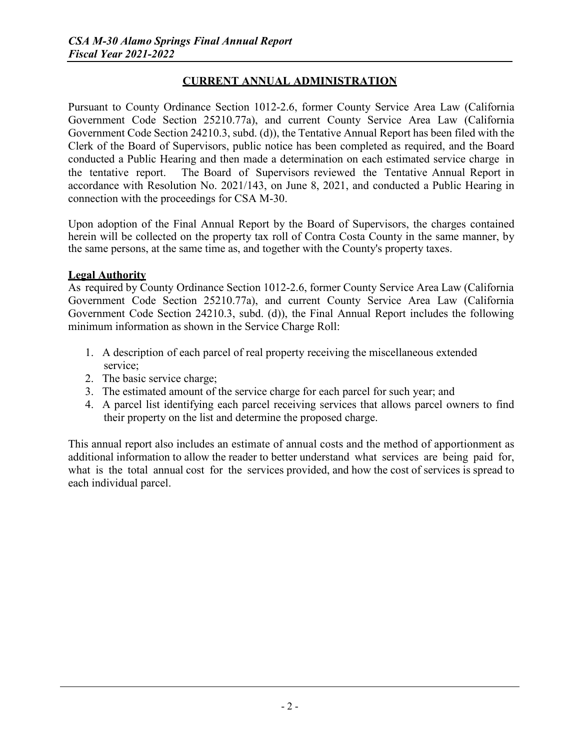## **CURRENT ANNUAL ADMINISTRATION**

Pursuant to County Ordinance Section 1012-2.6, former County Service Area Law (California Government Code Section 25210.77a), and current County Service Area Law (California Government Code Section 24210.3, subd. (d)), the Tentative Annual Report has been filed with the Clerk of the Board of Supervisors, public notice has been completed as required, and the Board conducted a Public Hearing and then made a determination on each estimated service charge in the tentative report. The Board of Supervisors reviewed the Tentative Annual Report in accordance with Resolution No. 2021/143, on June 8, 2021, and conducted a Public Hearing in connection with the proceedings for CSA M-30.

Upon adoption of the Final Annual Report by the Board of Supervisors, the charges contained herein will be collected on the property tax roll of Contra Costa County in the same manner, by the same persons, at the same time as, and together with the County's property taxes.

#### **Legal Authority**

As required by County Ordinance Section 1012-2.6, former County Service Area Law (California Government Code Section 25210.77a), and current County Service Area Law (California Government Code Section 24210.3, subd. (d)), the Final Annual Report includes the following minimum information as shown in the Service Charge Roll:

- 1. A description of each parcel of real property receiving the miscellaneous extended service;
- 2. The basic service charge;
- 3. The estimated amount of the service charge for each parcel for such year; and
- 4. A parcel list identifying each parcel receiving services that allows parcel owners to find their property on the list and determine the proposed charge.

This annual report also includes an estimate of annual costs and the method of apportionment as additional information to allow the reader to better understand what services are being paid for, what is the total annual cost for the services provided, and how the cost of services is spread to each individual parcel.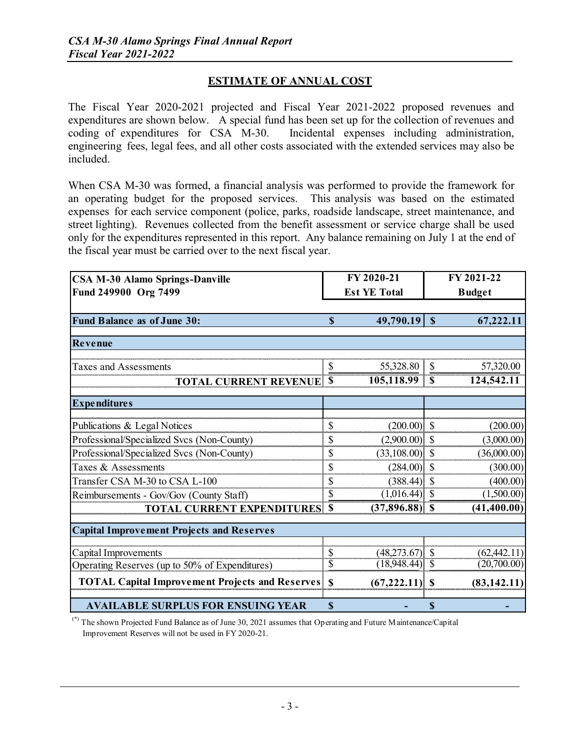### **ESTIMATE OF ANNUAL COST**

The Fiscal Year 2020-2021 projected and Fiscal Year 2021-2022 proposed revenues and expenditures are shown below. A special fund has been set up for the collection of revenues and coding of expenditures for CSA M-30. Incidental expenses including administration, engineering fees, legal fees, and all other costs associated with the extended services may also be included.

When CSA M-30 was formed, a financial analysis was performed to provide the framework for an operating budget for the proposed services. This analysis was based on the estimated expenses for each service component (police, parks, roadside landscape, street maintenance, and street lighting). Revenues collected from the benefit assessment or service charge shall be used only for the expenditures represented in this report. Any balance remaining on July 1 at the end of the fiscal year must be carried over to the next fiscal year.

| FY 2020-21<br><b>CSA M-30 Alamo Springs-Danville</b>                   |                         | FY 2021-22        |               |                             |  |  |  |  |
|------------------------------------------------------------------------|-------------------------|-------------------|---------------|-----------------------------|--|--|--|--|
| Fund 249900 Org 7499                                                   | <b>Est YE Total</b>     |                   | <b>Budget</b> |                             |  |  |  |  |
|                                                                        |                         |                   |               |                             |  |  |  |  |
| <b>Fund Balance as of June 30:</b>                                     | S                       | 49,790.19         | $\mathbf S$   | 67,222.11                   |  |  |  |  |
| Revenue                                                                |                         |                   |               |                             |  |  |  |  |
| <b>Taxes and Assessments</b>                                           | \$                      | 55,328.80         | \$            | 57,320.00                   |  |  |  |  |
| <b>TOTAL CURRENT REVENUE</b>                                           | -S                      | 105,118.99        | <b>S</b>      | 124,542.11                  |  |  |  |  |
| <b>Expenditures</b>                                                    |                         |                   |               |                             |  |  |  |  |
| Publications & Legal Notices                                           | \$                      | $(200.00)$ \$     |               | (200.00)                    |  |  |  |  |
| Professional/Specialized Svcs (Non-County)                             | \$                      | $(2,900.00)$ \$   |               | (3,000.00)                  |  |  |  |  |
| Professional/Specialized Svcs (Non-County)                             | \$                      | $(33,108.00)$ \$  |               | (36,000.00)                 |  |  |  |  |
| Taxes & Assessments                                                    | \$                      | $(284.00)$ \$     |               | (300.00)                    |  |  |  |  |
| Transfer CSA M-30 to CSA L-100                                         | \$                      | (388.44)          | -S            | (400.00)                    |  |  |  |  |
| Reimbursements - Gov/Gov (County Staff)                                | \$                      | $(1,016.44)$ \$   |               | (1,500.00)                  |  |  |  |  |
| <b>TOTAL CURRENT EXPENDITURES \$</b>                                   |                         | $(37,896.88)$ \$  |               | (41, 400.00)                |  |  |  |  |
| <b>Capital Improvement Projects and Reserves</b>                       |                         |                   |               |                             |  |  |  |  |
|                                                                        | $\mathcal{S}$           | $(48,273.67)$ \$  |               |                             |  |  |  |  |
| Capital Improvements<br>Operating Reserves (up to 50% of Expenditures) | $\overline{\mathbb{S}}$ |                   |               | (62, 442.11)<br>(20,700.00) |  |  |  |  |
|                                                                        |                         |                   |               |                             |  |  |  |  |
| <b>TOTAL Capital Improvement Projects and Reserves</b>                 | $\mathbf S$             | $(67, 222.11)$ \$ |               | (83, 142.11)                |  |  |  |  |
| <b>AVAILABLE SURPLUS FOR ENSUING YEAR</b>                              | $\mathbf S$             |                   | \$            |                             |  |  |  |  |

(\*) The shown Projected Fund Balance as of June 30, 2021 assumes that Operating and Future Maintenance/Capital Improvement Reserves will not be used in FY 2020-21.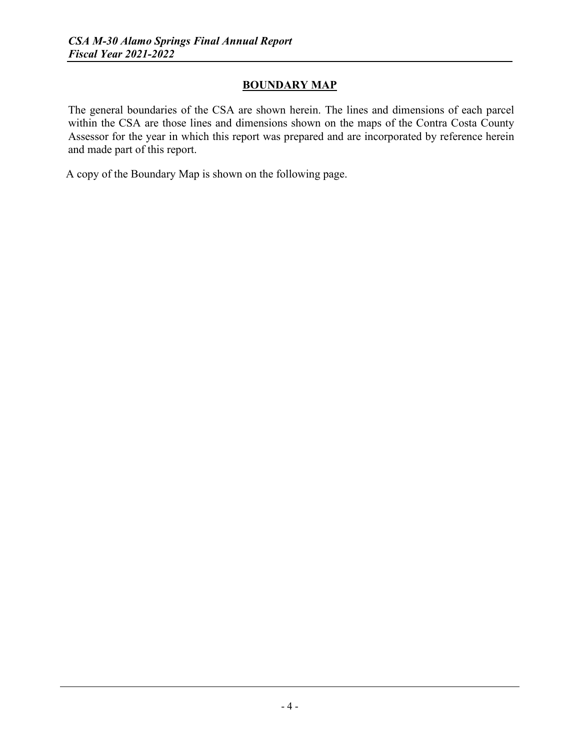## **BOUNDARY MAP**

The general boundaries of the CSA are shown herein. The lines and dimensions of each parcel within the CSA are those lines and dimensions shown on the maps of the Contra Costa County Assessor for the year in which this report was prepared and are incorporated by reference herein and made part of this report.

A copy of the Boundary Map is shown on the following page.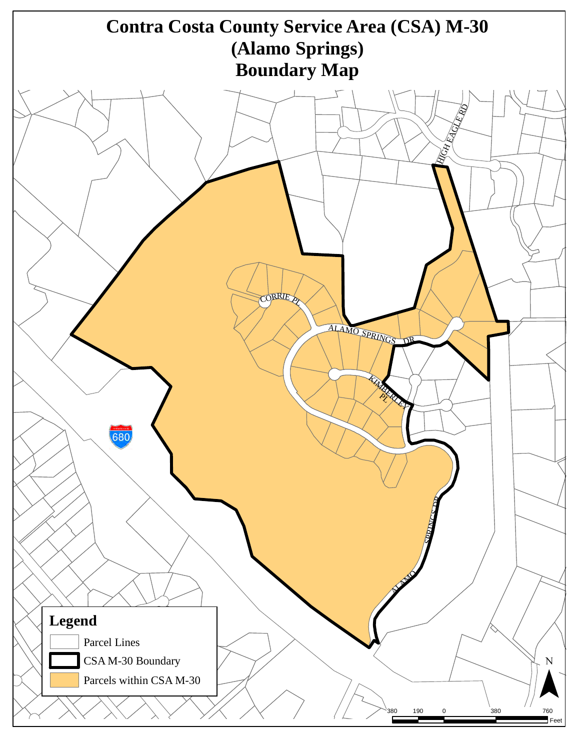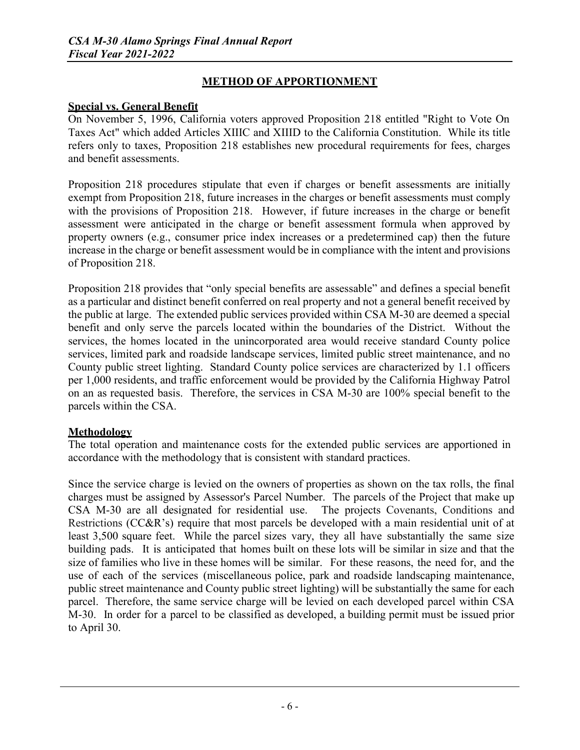# **METHOD OF APPORTIONMENT**

#### **Special vs. General Benefit**

On November 5, 1996, California voters approved Proposition 218 entitled "Right to Vote On Taxes Act" which added Articles XIIIC and XIIID to the California Constitution. While its title refers only to taxes, Proposition 218 establishes new procedural requirements for fees, charges and benefit assessments.

Proposition 218 procedures stipulate that even if charges or benefit assessments are initially exempt from Proposition 218, future increases in the charges or benefit assessments must comply with the provisions of Proposition 218. However, if future increases in the charge or benefit assessment were anticipated in the charge or benefit assessment formula when approved by property owners (e.g., consumer price index increases or a predetermined cap) then the future increase in the charge or benefit assessment would be in compliance with the intent and provisions of Proposition 218.

Proposition 218 provides that "only special benefits are assessable" and defines a special benefit as a particular and distinct benefit conferred on real property and not a general benefit received by the public at large. The extended public services provided within CSA M-30 are deemed a special benefit and only serve the parcels located within the boundaries of the District. Without the services, the homes located in the unincorporated area would receive standard County police services, limited park and roadside landscape services, limited public street maintenance, and no County public street lighting. Standard County police services are characterized by 1.1 officers per 1,000 residents, and traffic enforcement would be provided by the California Highway Patrol on an as requested basis. Therefore, the services in CSA M-30 are 100% special benefit to the parcels within the CSA.

#### **Methodology**

The total operation and maintenance costs for the extended public services are apportioned in accordance with the methodology that is consistent with standard practices.

Since the service charge is levied on the owners of properties as shown on the tax rolls, the final charges must be assigned by Assessor's Parcel Number. The parcels of the Project that make up CSA M-30 are all designated for residential use. The projects Covenants, Conditions and Restrictions (CC&R's) require that most parcels be developed with a main residential unit of at least 3,500 square feet. While the parcel sizes vary, they all have substantially the same size building pads. It is anticipated that homes built on these lots will be similar in size and that the size of families who live in these homes will be similar. For these reasons, the need for, and the use of each of the services (miscellaneous police, park and roadside landscaping maintenance, public street maintenance and County public street lighting) will be substantially the same for each parcel. Therefore, the same service charge will be levied on each developed parcel within CSA M-30. In order for a parcel to be classified as developed, a building permit must be issued prior to April 30.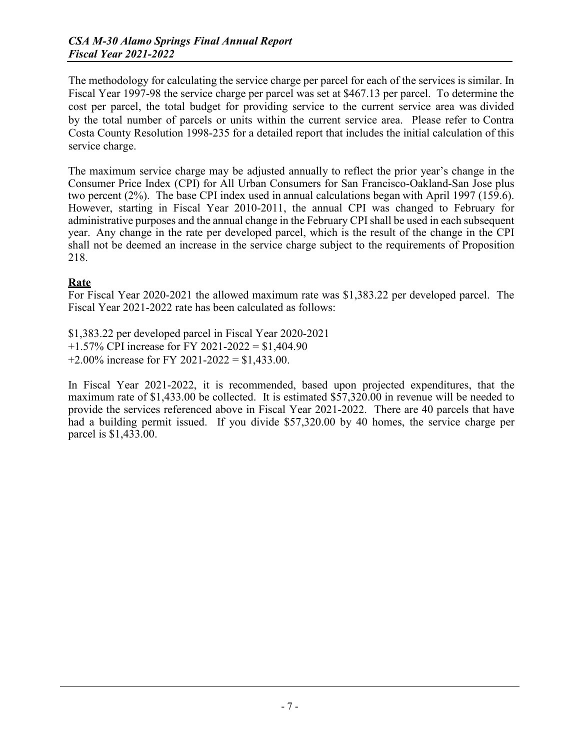The methodology for calculating the service charge per parcel for each of the services is similar. In Fiscal Year 1997-98 the service charge per parcel was set at \$467.13 per parcel. To determine the cost per parcel, the total budget for providing service to the current service area was divided by the total number of parcels or units within the current service area. Please refer to Contra Costa County Resolution 1998-235 for a detailed report that includes the initial calculation of this service charge.

The maximum service charge may be adjusted annually to reflect the prior year's change in the Consumer Price Index (CPI) for All Urban Consumers for San Francisco-Oakland-San Jose plus two percent (2%). The base CPI index used in annual calculations began with April 1997 (159.6). However, starting in Fiscal Year 2010-2011, the annual CPI was changed to February for administrative purposes and the annual change in the February CPI shall be used in each subsequent year. Any change in the rate per developed parcel, which is the result of the change in the CPI shall not be deemed an increase in the service charge subject to the requirements of Proposition 218.

#### **Rate**

For Fiscal Year 2020-2021 the allowed maximum rate was \$1,383.22 per developed parcel. The Fiscal Year 2021-2022 rate has been calculated as follows:

\$1,383.22 per developed parcel in Fiscal Year 2020-2021 +1.57% CPI increase for FY 2021-2022 = \$1,404.90 +2.00% increase for FY 2021-2022 = \$1,433.00.

In Fiscal Year 2021-2022, it is recommended, based upon projected expenditures, that the maximum rate of \$1,433.00 be collected. It is estimated \$57,320.00 in revenue will be needed to provide the services referenced above in Fiscal Year 2021-2022. There are 40 parcels that have had a building permit issued. If you divide \$57,320.00 by 40 homes, the service charge per parcel is \$1,433.00.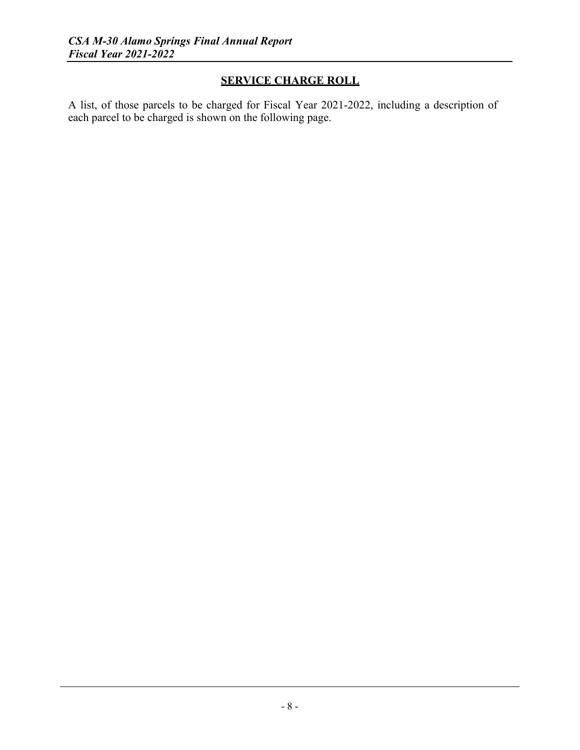# **SERVICE CHARGE ROLL**

A list, of those parcels to be charged for Fiscal Year 2021-2022, including a description of each parcel to be charged is shown on the following page.